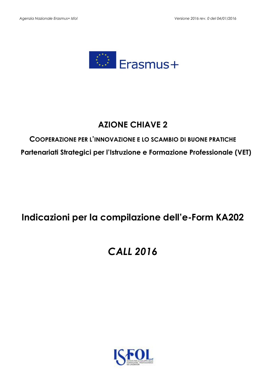

## **AZIONE CHIAVE 2**

**COOPERAZIONE PER L'INNOVAZIONE E LO SCAMBIO DI BUONE PRATICHE**

**Partenariati Strategici per l'Istruzione e Formazione Professionale (VET)**

## **Indicazioni per la compilazione dell'e-Form KA202**

# *CALL 2016*

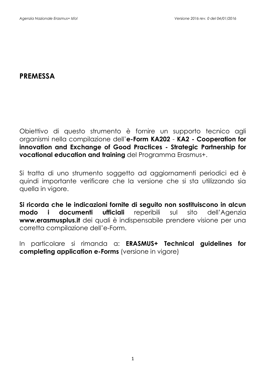## **PREMESSA**

Obiettivo di questo strumento è fornire un supporto tecnico agli organismi nella compilazione dell'**e-Form KA202** - **KA2 - Cooperation for innovation and Exchange of Good Practices - Strategic Partnership for vocational education and training** del Programma Erasmus+.

Si tratta di uno strumento soggetto ad aggiornamenti periodici ed è quindi importante verificare che la versione che si sta utilizzando sia quella in vigore.

**Si ricorda che le indicazioni fornite di seguito non sostituiscono in alcun modo i documenti ufficiali** reperibili sul sito dell'Agenzia www.erasmusplus.it dei quali è indispensabile prendere visione per una corretta compilazione dell'e-Form.

In particolare si rimanda a: **ERASMUS+ Technical guidelines for completing application e-Forms** (versione in vigore)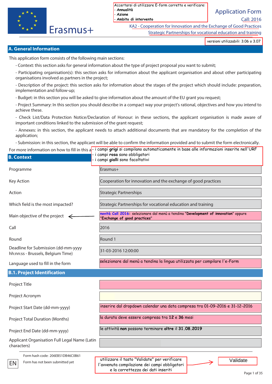

Accertarsi di utilizzare E-form corretto e verificare: - **Annualità**  - **Azione** - **Ambito di intervento**

Application Form

Call: 2016

KA2 - Cooperation for Innovation and the Exchange of Good Practices Strategic Partnerships for vocational education and training

versioni utilizzabili: 3.06 o 3.07

#### **A. General Information**

This application form consists of the following main sections:

- Context: this section asks for general information about the type of project proposal you want to submit;

- Participating organisation(s): this section asks for information about the applicant organisation and about other participating organisations involved as partners in the project;

- Description of the project: this section asks for information about the stages of the project which should include: preparation, implementation and follow-up;

- Budget: in this section you will be asked to give information about the amount of the EU grant you request;

- Project Summary: In this section you should describe in a compact way your project's rational, objectives and how you intend to achieve these.

- Check List/Data Protection Notice/Declaration of Honour: in these sections, the applicant organisation is made aware of important conditions linked to the submission of the grant request;

- Annexes: in this section, the applicant needs to attach additional documents that are mandatory for the completion of the application;

- Submission: in this section, the applicant will be able to confirm the information provided and to submit the form electronically.

| <b>B. Context</b>                                                         | For more information on how to fill in this a - i campi <b>grigi</b> si compilano automaticamente in base alle informazioni inserite nell'URF<br>i campi rosa sono obbligatori<br>i campi gialli sono facoltativi |  |  |
|---------------------------------------------------------------------------|-------------------------------------------------------------------------------------------------------------------------------------------------------------------------------------------------------------------|--|--|
| Programme                                                                 | Erasmus+                                                                                                                                                                                                          |  |  |
| Key Action                                                                | Cooperation for innovation and the exchange of good practices                                                                                                                                                     |  |  |
| Action                                                                    | <b>Strategic Partnerships</b>                                                                                                                                                                                     |  |  |
| Which field is the most impacted?                                         | Strategic Partnerships for vocational education and training                                                                                                                                                      |  |  |
| Main objective of the project $\leftarrow$                                | novità Call 2016: selezionare dal menù a tendina "Development of innovation" oppure<br>"Exchange of good practices"                                                                                               |  |  |
| Call                                                                      | 2016                                                                                                                                                                                                              |  |  |
| Round                                                                     | Round 1                                                                                                                                                                                                           |  |  |
| Deadline for Submission (dd-mm-yyyy<br>hh:nn:ss - Brussels, Belgium Time) | 31-03-2016 12:00:00                                                                                                                                                                                               |  |  |
| Language used to fill in the form                                         | selezionare dal menù a tendina la lingua utilizzata per compilare l'e-Form                                                                                                                                        |  |  |
| <b>B.1. Project Identification</b>                                        |                                                                                                                                                                                                                   |  |  |
| Project Title                                                             |                                                                                                                                                                                                                   |  |  |
| Project Acronym                                                           |                                                                                                                                                                                                                   |  |  |
| Project Start Date (dd-mm-yyyy)                                           | inserire dal dropdown calendar una data compresa tra 01-09-2016 e 31-12-2016                                                                                                                                      |  |  |
| <b>Project Total Duration (Months)</b>                                    | la durata deve essere compresa tra 12 e 36 mesi                                                                                                                                                                   |  |  |
| Project End Date (dd-mm-yyyy)                                             | le attività non possono terminare oltre il 31.08.2019                                                                                                                                                             |  |  |
| Applicant Organisation Full Legal Name (Latin<br>characters)              |                                                                                                                                                                                                                   |  |  |
| Form hash code: 206EB51DB46C0B61<br>Form has not been submitted yet<br>EN | utilizzare il tasto "Validate" per verificare<br>Validate<br>l'avvenuta compilazione dei campi obbligatori<br>e la correttezza dei dati inseriti<br>Page 1 of 35                                                  |  |  |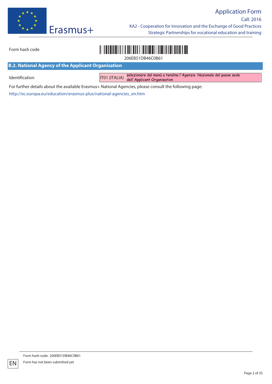

Form hash code

# 

206EB51DB46C0B61

#### **B.2. National Agency of the Applicant Organisation**

Identification **ITO1** (ITALIA) dell'Applicant Organisation selezionare dal menù a tendina l'Agenzia Nazionale del paese sede

For further details about the available Erasmus+ National Agencies, please consult the following page: http://ec.europa.eu/education/erasmus-plus/national-agencies\_en.htm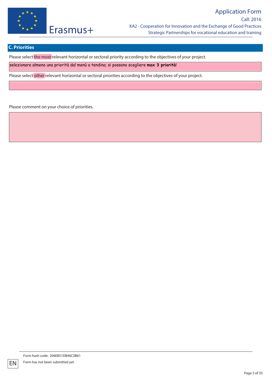

#### **C. Priorities**

Please select the most relevant horizontal or sectoral priority according to the objectives of your project.

selezionare almeno una priorità dal menù a tendina; si possono scegliere **max 3 priorità**!<br>.

Please select other relevant horizontal or sectoral priorities according to the objectives of your project.

Please comment on your choice of priorities.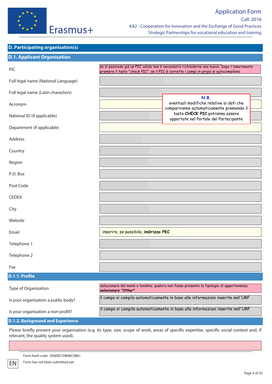

#### Application Form Call: 2016

KA2 - Cooperation for Innovation and the Exchange of Good Practices Strategic Partnerships for vocational education and training

#### **D. Participating organisation(s)**

#### **D.1. Applicant Organisation**

| <b>PIC</b>                              | se si possiede già un PIC valido non è necessario richiederne uno nuovo. Dopo l'inserimento<br>premere il tasto "check PIC"; se il PIC è corretto i campi in grigio si autocompilano |
|-----------------------------------------|--------------------------------------------------------------------------------------------------------------------------------------------------------------------------------------|
| Full legal name (National Language)     |                                                                                                                                                                                      |
| Full legal name (Latin characters)      | N.B.                                                                                                                                                                                 |
| Acronym                                 | eventuali modifiche relative ai dati che<br>compariranno automaticamente premendo il                                                                                                 |
| National ID (if applicable)             | tasto CHECK PIC potranno essere<br>apportate nel Portale del Partecipante                                                                                                            |
| Department (if applicable)              |                                                                                                                                                                                      |
| Address                                 |                                                                                                                                                                                      |
| Country                                 |                                                                                                                                                                                      |
| Region                                  |                                                                                                                                                                                      |
| P.O. Box                                |                                                                                                                                                                                      |
| Post Code                               |                                                                                                                                                                                      |
| <b>CEDEX</b>                            |                                                                                                                                                                                      |
| City                                    |                                                                                                                                                                                      |
| Website                                 |                                                                                                                                                                                      |
| Email                                   | inserire, se possibile, indirizzo PEC                                                                                                                                                |
| Telephone 1                             |                                                                                                                                                                                      |
| Telephone 2                             |                                                                                                                                                                                      |
| Fax                                     |                                                                                                                                                                                      |
| D.1.1. Profile                          |                                                                                                                                                                                      |
| Type of Organisation                    | selezionare dal menù a tendina; qualora non fosse presente la tipologia di appartenenza,<br>selezionare "Other"                                                                      |
| Is your organisation a public body?     | il campo si compila automaticamente in base alle informazioni inserite nell'URF                                                                                                      |
| Is your organisation a non-profit?      | il campo si compila automaticamente in base alle informazioni inserite nell'URF                                                                                                      |
| <b>D.1.2. Background and Experience</b> |                                                                                                                                                                                      |

Please briefly present your organisation (e.g. its type, size, scope of work, areas of specific expertise, specific social context and, if relevant, the quality system used).

Form hash code: 206EB51DB46C0B61

Form has not been submitted yet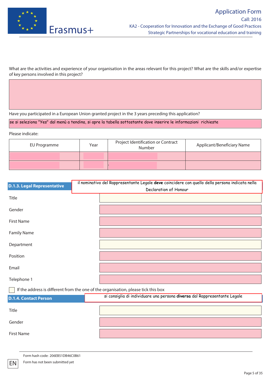

What are the activities and experience of your organisation in the areas relevant for this project? What are the skills and/or expertise of key persons involved in this project?

Have you participated in a European Union granted project in the 3 years preceding this application?

se si seleziona "Yes" dal menù a tendina, si apre la tabella sottostante dove inserire le informazioni richieste

#### Please indicate:

| EU Programme | Year | Project Identification or Contract<br>Number | Applicant/Beneficiary Name |
|--------------|------|----------------------------------------------|----------------------------|
|              |      |                                              |                            |
|              |      |                                              |                            |

| <b>D.1.3. Legal Representative</b> | il nominativo del Rappresentante Legale deve coincidere con quello della persona indicata nella |  |  |  |
|------------------------------------|-------------------------------------------------------------------------------------------------|--|--|--|
|                                    | Declaration of Honour                                                                           |  |  |  |
| Title                              |                                                                                                 |  |  |  |
| Gender                             |                                                                                                 |  |  |  |
| <b>First Name</b>                  |                                                                                                 |  |  |  |
| <b>Family Name</b>                 |                                                                                                 |  |  |  |
| Department                         |                                                                                                 |  |  |  |
| Position                           |                                                                                                 |  |  |  |
| Email                              |                                                                                                 |  |  |  |
| Telephone 1                        |                                                                                                 |  |  |  |
|                                    | If the address is different from the one of the organisation, please tick this box              |  |  |  |
| <b>D.1.4. Contact Person</b>       | si consiglia di individuare una persona diversa dal Rappresentante Legale                       |  |  |  |
| Title                              |                                                                                                 |  |  |  |
| Gender                             |                                                                                                 |  |  |  |
| <b>First Name</b>                  |                                                                                                 |  |  |  |

Form hash code: 206EB51DB46C0B61

Form has not been submitted yet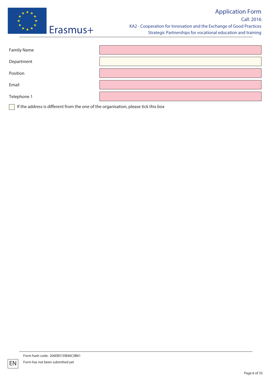

| <b>Family Name</b> |  |
|--------------------|--|
| Department         |  |
| Position           |  |
| Email              |  |
| Telephone 1        |  |

If the address is different from the one of the organisation, please tick this box $\mathcal{L}$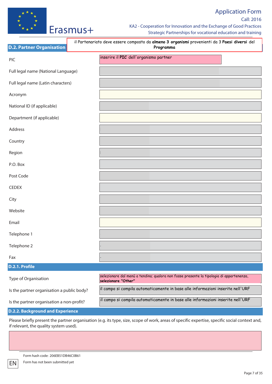

## Application Form

Call: 2016

KA2 - Cooperation for Innovation and the Exchange of Good Practices Strategic Partnerships for vocational education and training

| il Partenariato deve essere composto da almeno 3 organismi provenienti da 3 Paesi diversi del<br><b>D.2. Partner Organisation</b><br>Programma |                                                                                                                 |  |  |
|------------------------------------------------------------------------------------------------------------------------------------------------|-----------------------------------------------------------------------------------------------------------------|--|--|
| PIC                                                                                                                                            | inserire il PIC dell'organismo partner                                                                          |  |  |
| Full legal name (National Language)                                                                                                            |                                                                                                                 |  |  |
| Full legal name (Latin characters)                                                                                                             |                                                                                                                 |  |  |
| Acronym                                                                                                                                        |                                                                                                                 |  |  |
| National ID (if applicable)                                                                                                                    |                                                                                                                 |  |  |
| Department (if applicable)                                                                                                                     |                                                                                                                 |  |  |
| Address                                                                                                                                        |                                                                                                                 |  |  |
| Country                                                                                                                                        |                                                                                                                 |  |  |
| Region                                                                                                                                         |                                                                                                                 |  |  |
| P.O. Box                                                                                                                                       |                                                                                                                 |  |  |
| Post Code                                                                                                                                      |                                                                                                                 |  |  |
| <b>CEDEX</b>                                                                                                                                   |                                                                                                                 |  |  |
| City                                                                                                                                           |                                                                                                                 |  |  |
| Website                                                                                                                                        |                                                                                                                 |  |  |
| Email                                                                                                                                          |                                                                                                                 |  |  |
| Telephone 1                                                                                                                                    |                                                                                                                 |  |  |
| Telephone 2                                                                                                                                    |                                                                                                                 |  |  |
| Fax                                                                                                                                            |                                                                                                                 |  |  |
| D.2.1. Profile                                                                                                                                 |                                                                                                                 |  |  |
| Type of Organisation                                                                                                                           | selezionare dal menù a tendina; qualora non fosse presente la tipologia di appartenenza,<br>selezionare "Other" |  |  |
| Is the partner organisation a public body?                                                                                                     | il campo si compila automaticamente in base alle informazioni inserite nell'URF                                 |  |  |
| Is the partner organisation a non-profit?                                                                                                      | il campo si compila automaticamente in base alle informazioni inserite nell'URF                                 |  |  |
| <b>D.2.2. Background and Experience</b>                                                                                                        |                                                                                                                 |  |  |

Please briefly present the partner organisation (e.g. its type, size, scope of work, areas of specific expertise, specific social context and, if relevant, the quality system used).

Form hash code: 206EB51DB46C0B61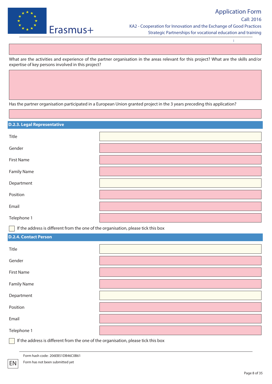

Application Form

What are the activities and experience of the partner organisation in the areas relevant for this project? What are the skills and/or expertise of key persons involved in this project?

Has the partner organisation participated in a European Union granted project in the 3 years preceding this application?

#### **D.2.3. Legal Representative**

| Title              |  |
|--------------------|--|
| Gender             |  |
| <b>First Name</b>  |  |
| <b>Family Name</b> |  |
| Department         |  |
| Position           |  |
| Email              |  |
| Telephone 1        |  |

If the address is different from the one of the organisation, please tick this box

#### **D.2.4. Contact Person**

| Title                                                                                                                |  |
|----------------------------------------------------------------------------------------------------------------------|--|
| Gender                                                                                                               |  |
| <b>First Name</b>                                                                                                    |  |
| <b>Family Name</b>                                                                                                   |  |
| Department                                                                                                           |  |
| Position                                                                                                             |  |
| Email                                                                                                                |  |
| Telephone 1                                                                                                          |  |
| والمتعاون والمستحيل والمتحاول والمتحاول والمتحار والمتحافظ والمتحاول والمتحاول والمتحاول والمتحاول والمتحاول والمتحا |  |

**If the address is different from the one of the organisation, please tick this box** 

|  |  | Form hash code: 206EB51DB46C0B61 |
|--|--|----------------------------------|

Form has not been submitted yet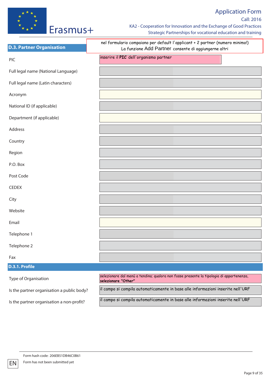$x^*$ <br>  $x^*$ <br>  $x^*$ <br>  $x^*$ Erasmus+

### Application Form

Call: 2016

KA2 - Cooperation for Innovation and the Exchange of Good Practices Strategic Partnerships for vocational education and training

| <b>D.3. Partner Organisation</b>           | nel formulario compaiono per default l'applicant + 2 partner (numero minimo!)<br>La funzione Add Partner consente di aggiungerne altri |  |  |
|--------------------------------------------|----------------------------------------------------------------------------------------------------------------------------------------|--|--|
| PIC                                        | inserire il PIC dell'organismo partner                                                                                                 |  |  |
| Full legal name (National Language)        |                                                                                                                                        |  |  |
| Full legal name (Latin characters)         |                                                                                                                                        |  |  |
| Acronym                                    |                                                                                                                                        |  |  |
| National ID (if applicable)                |                                                                                                                                        |  |  |
| Department (if applicable)                 |                                                                                                                                        |  |  |
| Address                                    |                                                                                                                                        |  |  |
| Country                                    |                                                                                                                                        |  |  |
| Region                                     |                                                                                                                                        |  |  |
| P.O. Box                                   |                                                                                                                                        |  |  |
| Post Code                                  |                                                                                                                                        |  |  |
| <b>CEDEX</b>                               |                                                                                                                                        |  |  |
| City                                       |                                                                                                                                        |  |  |
| Website                                    |                                                                                                                                        |  |  |
| Email                                      |                                                                                                                                        |  |  |
| Telephone 1                                |                                                                                                                                        |  |  |
| Telephone 2                                |                                                                                                                                        |  |  |
| Fax                                        |                                                                                                                                        |  |  |
| D.3.1. Profile                             |                                                                                                                                        |  |  |
| Type of Organisation                       | selezionare dal menù a tendina; qualora non fosse presente la tipologia di appartenenza,<br>selezionare "Other"                        |  |  |
| Is the partner organisation a public body? | il campo si compila automaticamente in base alle informazioni inserite nell'URF                                                        |  |  |
| Is the partner organisation a non-profit?  | il campo si compila automaticamente in base alle informazioni inserite nell'URF                                                        |  |  |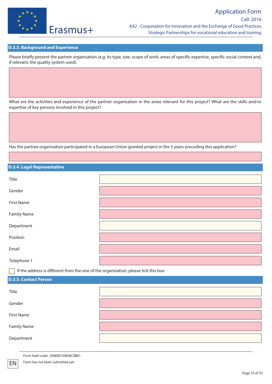

#### **D.3.3. Background and Experience**

Please briefly present the partner organisation (e.g. its type, size, scope of work, areas of specific expertise, specific social context and, if relevant, the quality system used).

What are the activities and experience of the partner organisation in the areas relevant for this project? What are the skills and/or expertise of key persons involved in this project?

Has the partner organisation participated in a European Union granted project in the 3 years preceding this application?

| <b>D.3.4. Legal Representative</b>                                                 |  |  |  |
|------------------------------------------------------------------------------------|--|--|--|
| Title                                                                              |  |  |  |
| Gender                                                                             |  |  |  |
| <b>First Name</b>                                                                  |  |  |  |
| <b>Family Name</b>                                                                 |  |  |  |
| Department                                                                         |  |  |  |
| Position                                                                           |  |  |  |
| Email                                                                              |  |  |  |
| Telephone 1                                                                        |  |  |  |
| If the address is different from the one of the organisation, please tick this box |  |  |  |
| <b>D.3.5. Contact Person</b>                                                       |  |  |  |
| Title                                                                              |  |  |  |
| Gender                                                                             |  |  |  |
| <b>First Name</b>                                                                  |  |  |  |
| <b>Family Name</b>                                                                 |  |  |  |
| Department                                                                         |  |  |  |

Form hash code: 206EB51DB46C0B61

Form has not been submitted yet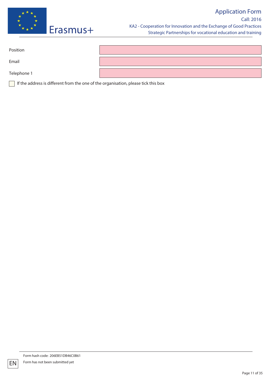

Position

Email

Telephone 1

If the address is different from the one of the organisation, please tick this box

Form hash code: 206EB51DB46C0B61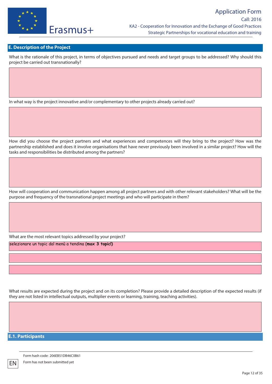

#### **E. Description of the Project**

What is the rationale of this project, in terms of objectives pursued and needs and target groups to be addressed? Why should this project be carried out transnationally?

In what way is the project innovative and/or complementary to other projects already carried out?

How did you choose the project partners and what experiences and competences will they bring to the project? How was the partnership established and does it involve organisations that have never previously been involved in a similar project? How will the tasks and responsibilities be distributed among the partners?

How will cooperation and communication happen among all project partners and with other relevant stakeholders? What will be the purpose and frequency of the transnational project meetings and who will participate in them?

What are the most relevant topics addressed by your project?

selezionare un topic dal menù a tendina (**max 3 topic!)** 

What results are expected during the project and on its completion? Please provide a detailed description of the expected results (if they are not listed in intellectual outputs, multiplier events or learning, training, teaching activities).

#### **E.1. Participants**

Form hash code: 206EB51DB46C0B61

Form has not been submitted yet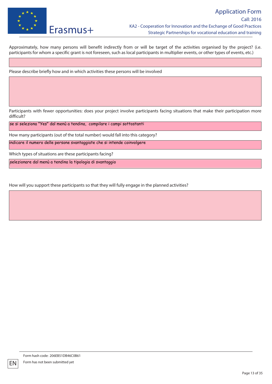

Approximately, how many persons will benefit indirectly from or will be target of the activities organised by the project? (i.e. participants for whom a specific grant is not foreseen, such as local participants in multiplier events, or other types of events, etc.)

Please describe briefly how and in which activities these persons will be involved

Participants with fewer opportunities: does your project involve participants facing situations that make their participation more difficult?

se si seleziona "Yes" dal menù a tendina, compilare i campi sottostanti

How many participants (out of the total number) would fall into this category?

indicare il numero delle persone svantaggiate che si intende coinvolgere<br>.

Which types of situations are these participants facing?

selezionare dal menù a tendina la tipologia di svantaggio

How will you support these participants so that they will fully engage in the planned activities?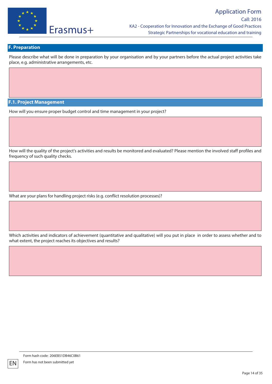

#### **F. Preparation**

Please describe what will be done in preparation by your organisation and by your partners before the actual project activities take place, e.g. administrative arrangements, etc.

**F.1. Project Management**

How will you ensure proper budget control and time management in your project?

How will the quality of the project's activities and results be monitored and evaluated? Please mention the involved staff profiles and frequency of such quality checks.

What are your plans for handling project risks (e.g. conflict resolution processes)?

Which activities and indicators of achievement (quantitative and qualitative) will you put in place in order to assess whether and to what extent, the project reaches its objectives and results?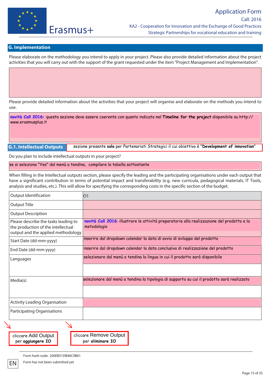

#### **G. Implementation**

Please elaborate on the methodology you intend to apply in your project. Please also provide detailed information about the project activities that you will carry out with the support of the grant requested under the item "Project Management and Implementation".

Please provide detailed information about the activities that your project will organise and elaborate on the methods you intend to use.

**novità Call 2016:** questa sezione deve essere coerente con quanto indicato nel **Timeline for the project** disponibile su http:// www.erasmusplus.it

**G.1. Intellectual Outputs**

sezione presente **solo** per Partenariati Strategici il cui obiettivo è "**Development of innovation**"

Do you plan to include intellectual outputs in your project?

se si seleziona "Yes" dal menù a tendina, compilare la tabella sottostante

| se si seleziona "Yes" dal menù a tendina, compilare la tabella sottostante                                       |                                                                                                                                                                                                                                                                                                                                                                                                                 |
|------------------------------------------------------------------------------------------------------------------|-----------------------------------------------------------------------------------------------------------------------------------------------------------------------------------------------------------------------------------------------------------------------------------------------------------------------------------------------------------------------------------------------------------------|
|                                                                                                                  | When filling in the Intellectual outputs section, please specify the leading and the participating organisations under each output that<br>have a significant contribution in terms of potential impact and transferability (e.g. new curricula, pedagogical materials, IT Tools,<br>analysis and studies, etc.). This will allow for specifying the corresponding costs in the specific section of the budget. |
| Output Identification                                                                                            | O1                                                                                                                                                                                                                                                                                                                                                                                                              |
| <b>Output Title</b>                                                                                              |                                                                                                                                                                                                                                                                                                                                                                                                                 |
| <b>Output Description</b>                                                                                        |                                                                                                                                                                                                                                                                                                                                                                                                                 |
| Please describe the tasks leading to<br>the production of the intellectual<br>output and the applied methodology | novità Call 2016: illustrare le attività preparatorie alla realizzazione del prodotto e la<br>metodologia                                                                                                                                                                                                                                                                                                       |
| Start Date (dd-mm-yyyy)                                                                                          | inserire dal dropdown calendar la data di avvio di sviluppo del prodotto                                                                                                                                                                                                                                                                                                                                        |
| End Date (dd-mm-yyyy)                                                                                            | inserire dal dropdown calendar la data conclusiva di realizzazione del prodotto                                                                                                                                                                                                                                                                                                                                 |
| Languages                                                                                                        | selezionare dal menù a tendina la lingua in cui il prodotto sarà disponibile                                                                                                                                                                                                                                                                                                                                    |
|                                                                                                                  |                                                                                                                                                                                                                                                                                                                                                                                                                 |
| Media(s)                                                                                                         | selezionare dal menù a tendina la tipologia di supporto su cui il prodotto sarà realizzato                                                                                                                                                                                                                                                                                                                      |
|                                                                                                                  |                                                                                                                                                                                                                                                                                                                                                                                                                 |
| <b>Activity Leading Organisation</b>                                                                             |                                                                                                                                                                                                                                                                                                                                                                                                                 |
| <b>Participating Organisations</b>                                                                               |                                                                                                                                                                                                                                                                                                                                                                                                                 |
| 7                                                                                                                |                                                                                                                                                                                                                                                                                                                                                                                                                 |
| cliccare Add Output<br>per aggiungere IO                                                                         | cliccare Remove Output<br>per eliminare IO                                                                                                                                                                                                                                                                                                                                                                      |

EN



Form hash code: 206EB51DB46C0B61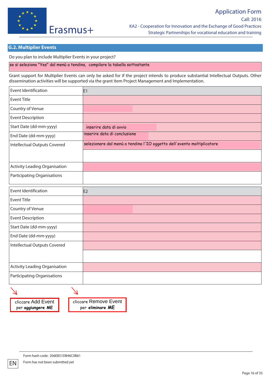

#### **G.2. Multiplier Events**

Do you plan to include Multiplier Events in your project?

se si seleziona "Yes" dal menù a tendina, compilare la tabella sottostante

Grant support for Multiplier Events can only be asked for if the project intends to produce substantial Intellectual Outputs. Other dissemination activities will be supported via the grant item Project Management and Implementation.

| Event Identification                 | E <sub>1</sub>                                                         |
|--------------------------------------|------------------------------------------------------------------------|
| <b>Event Title</b>                   |                                                                        |
| Country of Venue                     |                                                                        |
| <b>Event Description</b>             |                                                                        |
| Start Date (dd-mm-yyyy)              | inserire data di avvio                                                 |
| End Date (dd-mm-yyyy)                | inserire data di conclusione                                           |
| Intellectual Outputs Covered         | selezionare dal menù a tendina l'IO oggetto dell'evento moltiplicatore |
|                                      |                                                                        |
| <b>Activity Leading Organisation</b> |                                                                        |
| <b>Participating Organisations</b>   |                                                                        |
|                                      |                                                                        |
| <b>Event Identification</b>          | E <sub>2</sub>                                                         |
| <b>Event Title</b>                   |                                                                        |
| Country of Venue                     |                                                                        |
| <b>Event Description</b>             |                                                                        |
| Start Date (dd-mm-yyyy)              |                                                                        |
| End Date (dd-mm-yyyy)                |                                                                        |
| Intellectual Outputs Covered         |                                                                        |
|                                      |                                                                        |
| <b>Activity Leading Organisation</b> |                                                                        |

cliccare Add Event per **aggiungere ME**

cliccare Remove Event per **eliminare ME**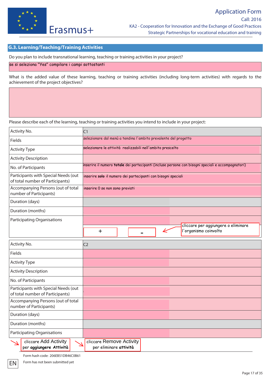

#### **G.3. Learning/Teaching/Training Activities**

Do you plan to include transnational learning, teaching or training activities in your project?

se si seleziona "Yes" compilare i campi sottostanti

| se si seleziona "Yes" compilare i campi sottostanti                                                                                                                       |                                                                                                              |  |  |  |  |  |  |
|---------------------------------------------------------------------------------------------------------------------------------------------------------------------------|--------------------------------------------------------------------------------------------------------------|--|--|--|--|--|--|
| What is the added value of these learning, teaching or training activities (including long-term activities) with regards to the<br>achievement of the project objectives? |                                                                                                              |  |  |  |  |  |  |
|                                                                                                                                                                           |                                                                                                              |  |  |  |  |  |  |
|                                                                                                                                                                           | Please describe each of the learning, teaching or training activities you intend to include in your project: |  |  |  |  |  |  |
| Activity No.                                                                                                                                                              | C1                                                                                                           |  |  |  |  |  |  |
| Fields                                                                                                                                                                    | selezionare dal menù a tendina l'ambito prevalente del progetto                                              |  |  |  |  |  |  |
| <b>Activity Type</b>                                                                                                                                                      | selezionare le attività realizzabili nell'ambito prescelto                                                   |  |  |  |  |  |  |
| <b>Activity Description</b>                                                                                                                                               |                                                                                                              |  |  |  |  |  |  |
| No. of Participants                                                                                                                                                       | inserire il numero totale dei partecipanti (incluse persone con bisogni speciali e accompagnatori)           |  |  |  |  |  |  |
| Participants with Special Needs (out<br>of total number of Participants)                                                                                                  | inserire solo il numero dei partecipanti con bisogni speciali                                                |  |  |  |  |  |  |
| Accompanying Persons (out of total<br>number of Participants)                                                                                                             | inserire O se non sono previsti                                                                              |  |  |  |  |  |  |
| Duration (days)                                                                                                                                                           |                                                                                                              |  |  |  |  |  |  |
| Duration (months)                                                                                                                                                         |                                                                                                              |  |  |  |  |  |  |
| <b>Participating Organisations</b>                                                                                                                                        | cliccare per aggiungere o eliminare<br>l'organismo coinvolto<br>$\ddot{}$                                    |  |  |  |  |  |  |
| Activity No.                                                                                                                                                              | C <sub>2</sub>                                                                                               |  |  |  |  |  |  |
| Fields                                                                                                                                                                    |                                                                                                              |  |  |  |  |  |  |
| <b>Activity Type</b>                                                                                                                                                      |                                                                                                              |  |  |  |  |  |  |
| <b>Activity Description</b>                                                                                                                                               |                                                                                                              |  |  |  |  |  |  |
| No. of Participants                                                                                                                                                       |                                                                                                              |  |  |  |  |  |  |
| Participants with Special Needs (out<br>of total number of Participants)                                                                                                  |                                                                                                              |  |  |  |  |  |  |
| Accompanying Persons (out of total<br>number of Participants)                                                                                                             |                                                                                                              |  |  |  |  |  |  |
| Duration (days)                                                                                                                                                           |                                                                                                              |  |  |  |  |  |  |
| Duration (months)                                                                                                                                                         |                                                                                                              |  |  |  |  |  |  |
| <b>Participating Organisations</b>                                                                                                                                        |                                                                                                              |  |  |  |  |  |  |
| cliccare Add Activity<br>per aggiungere Attività                                                                                                                          | cliccare Remove Activity<br>per eliminare attività                                                           |  |  |  |  |  |  |

Form hash code: 206EB51DB46C0B61

Form has not been submitted yet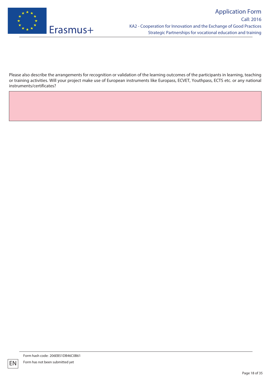

Please also describe the arrangements for recognition or validation of the learning outcomes of the participants in learning, teaching or training activities. Will your project make use of European instruments like Europass, ECVET, Youthpass, ECTS etc. or any national instruments/certificates?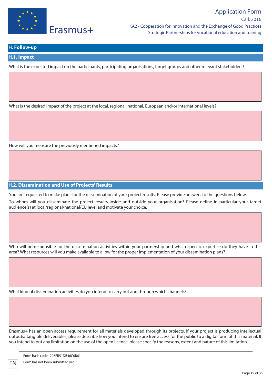

#### **H. Follow-up**

#### **H.1. Impact**

What is the expected impact on the participants, participating organisations, target groups and other relevant stakeholders?

What is the desired impact of the project at the local, regional, national, European and/or international levels?

How will you measure the previously mentioned impacts?

**H.2. Dissemination and Use of Projects' Results**

You are requested to make plans for the dissemination of your project results. Please provide answers to the questions below.

To whom will you disseminate the project results inside and outside your organisation? Please define in particular your target audience(s) at local/regional/national/EU level and motivate your choice.

Who will be responsible for the dissemination activities within your partnership and which specific expertise do they have in this area? What resources will you make available to allow for the proper implementation of your dissemination plans?

What kind of dissemination activities do you intend to carry out and through which channels?

Erasmus+ has an open access requirement for all materials developed through its projects. If your project is producing intellectual outputs/ tangible deliverables, please describe how you intend to ensure free access for the public to a digital form of this material. If you intend to put any limitation on the use of the open licence, please specify the reasons, extent and nature of this limitation.

Form hash code: 206EB51DB46C0B61

Form has not been submitted yet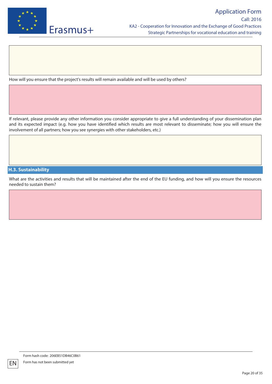

How will you ensure that the project's results will remain available and will be used by others?

If relevant, please provide any other information you consider appropriate to give a full understanding of your dissemination plan and its expected impact (e.g. how you have identified which results are most relevant to disseminate; how you will ensure the involvement of all partners; how you see synergies with other stakeholders, etc.)

#### **H.3. Sustainability**

What are the activities and results that will be maintained after the end of the EU funding, and how will you ensure the resources needed to sustain them?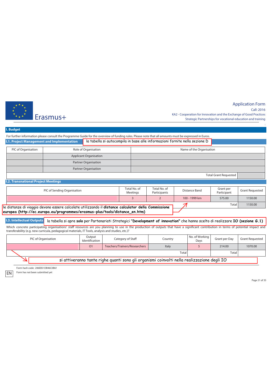

Application Form

Call: 2016 KA2 - Cooperation for Innovation and the Exchange of Good Practices

Strategic Partnerships for vocational education and training

#### **I. Budget**

For further information please consult the Programme Guide for the overview of funding rules. Please note that all amounts must be expressed in Euros. **I.1. Project Management and Implementation** la tabella si autocompila in base alle informazioni fornite nella sezione D

| PIC of Organisation | Role of Organisation          | Name of the Organisation |
|---------------------|-------------------------------|--------------------------|
|                     | <b>Applicant Organisation</b> |                          |
|                     | <b>Partner Organisation</b>   |                          |
|                     | <b>Partner Organisation</b>   |                          |

|                                                                                                            |                          |                              |               | <b>Total Grant Requested</b> |                        |
|------------------------------------------------------------------------------------------------------------|--------------------------|------------------------------|---------------|------------------------------|------------------------|
| <b>I.2. Transnational Project Meetings</b>                                                                 |                          |                              |               |                              |                        |
| PIC of Sending Organisation                                                                                | Total No. of<br>Meetings | Total No. of<br>Participants | Distance Band | Grant per<br>Participant     | <b>Grant Requested</b> |
|                                                                                                            |                          |                              | 100 - 1999 km | 575.00                       | 1150.00                |
| le distanze di viaggio devono essere calcolate utilizzando il <b>distance calculator della Commissione</b> |                          |                              | Total         | 1150.00                      |                        |
| europea (http://ec.europa.eu/programmes/erasmus-plus/tools/distance_en.htm)                                |                          |                              |               |                              |                        |

#### **I.3. Intellectual Outputs** la tabella si apre **solo** per Partenariati Strategici "**Development of innovation"** che hanno scelto di realizzare **IO (sezione G.1)**

Which concrete participating organisations' staff resources are you planning to use in the production of outputs that have a significant contribution in terms of potential impact and transferability (e.g. new curricula, pedagogical materials, IT Tools, analysis and studies, etc.)?

| PIC of Organisation                                                                         | Output<br>Identification | Category of Staff             | Country | No. of Working<br>Days | Grant per Day | <b>Grant Requested</b> |  |  |
|---------------------------------------------------------------------------------------------|--------------------------|-------------------------------|---------|------------------------|---------------|------------------------|--|--|
|                                                                                             | O <sub>1</sub>           | Teachers/Trainers/Researchers | Italy   |                        | 214.00        | 1070.00                |  |  |
| <b>Total</b><br>Total                                                                       |                          |                               |         |                        |               |                        |  |  |
| si attiveranno tante righe quanti sono gli organismi coinvolti nella realizzazione degli IO |                          |                               |         |                        |               |                        |  |  |

Form hash code: 206EB51DB46C0B61

EN Form has not been submitted yet

Page 21 of 35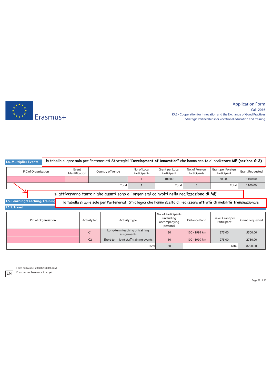

| la tabella si apre solo per Partenariati Strategici "Development of innovation" che hanno scelto di realizzare ME (sezione G.2)<br><b>I.4. Multiplier Events</b> |                     |                         |                                                                                                                        |                                               |                                                               |                                |                                  |                        |
|------------------------------------------------------------------------------------------------------------------------------------------------------------------|---------------------|-------------------------|------------------------------------------------------------------------------------------------------------------------|-----------------------------------------------|---------------------------------------------------------------|--------------------------------|----------------------------------|------------------------|
| PIC of Organisation                                                                                                                                              |                     | Event<br>Identification | Country of Venue                                                                                                       | No. of Local<br>Participants                  | Grant per Local<br>Participant                                | No. of Foreign<br>Participants | Grant per Foreign<br>Participant | <b>Grant Requested</b> |
|                                                                                                                                                                  |                     | E <sub>1</sub>          |                                                                                                                        |                                               | 100.00                                                        | 5                              | 200.00                           | 1100.00                |
|                                                                                                                                                                  |                     |                         | Total                                                                                                                  |                                               | Total                                                         | 5                              | Total                            | 1100.00                |
|                                                                                                                                                                  |                     |                         | si attiveranno tante righe guanti sono gli organismi coinvolti nella realizzazione di ME                               |                                               |                                                               |                                |                                  |                        |
| <b>I.5. Learning/Teaching/Training</b>                                                                                                                           |                     |                         | la tabella si apre solo per Partenariati Strategici che hanno scelto di realizzare attività di mobilità transnazionale |                                               |                                                               |                                |                                  |                        |
| I.5.1. Travel                                                                                                                                                    |                     |                         |                                                                                                                        |                                               |                                                               |                                |                                  |                        |
|                                                                                                                                                                  | PIC of Organisation |                         | Activity No.                                                                                                           | <b>Activity Type</b>                          | No. of Participants<br>(including<br>accompanying<br>persons) | Distance Band                  | Travel Grant per<br>Participant  | <b>Grant Requested</b> |
|                                                                                                                                                                  |                     |                         | C <sub>1</sub>                                                                                                         | Long-term teaching or training<br>assignments | 20                                                            | 100 - 1999 km                  | 275.00                           | 5500.00                |
|                                                                                                                                                                  |                     |                         | C <sub>2</sub>                                                                                                         | Short-term joint staff training events        | 10                                                            | 100 - 1999 km                  | 275.00                           | 2750.00                |
| Totall                                                                                                                                                           |                     |                         |                                                                                                                        |                                               | 30                                                            |                                | Total                            | 8250.00                |

Form hash code: 206EB51DB46C0B61

EN Form has not been submitted yet

Page 22 of 35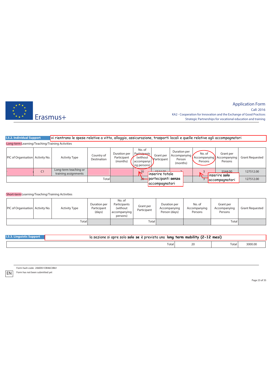

|                                                 | vi rientrano le spese relative a vitto, alloggio, assicurazione, trasporti locali e quelle relative agli accompagnatori<br><b>I.5.2. Individual Support</b> |                                               |                           |                                         |                                                                 |                                      |                                                    |                                   |                                      |                        |
|-------------------------------------------------|-------------------------------------------------------------------------------------------------------------------------------------------------------------|-----------------------------------------------|---------------------------|-----------------------------------------|-----------------------------------------------------------------|--------------------------------------|----------------------------------------------------|-----------------------------------|--------------------------------------|------------------------|
| Long-term Learning/Teaching/Training Activities |                                                                                                                                                             |                                               |                           |                                         |                                                                 |                                      |                                                    |                                   |                                      |                        |
| <b>PIC of Organisation</b> Activity No.         |                                                                                                                                                             | <b>Activity Type</b>                          | Country of<br>Destination | Duration per<br>Participant<br>(months) | No. of<br>Participants<br>(without<br>accompanyi<br>ng persons) | Grant per<br>Participant             | Duration per<br>Accompanying<br>Person<br>(months) | No. of<br>Accompanying<br>Persons | Grant per<br>Accompanying<br>Persons | <b>Grant Requested</b> |
|                                                 | C <sub>1</sub>                                                                                                                                              | Long-term teaching or<br>training assignments |                           |                                         | $\mathcal{R}^0$                                                 | FFAA OQ<br>linserire totale          |                                                    |                                   | 5544.00<br>Inserire solo             | 127512.00              |
|                                                 |                                                                                                                                                             |                                               | Totall                    |                                         | 20-                                                             | partecipanti senza<br>accompagnatori |                                                    |                                   | <b>accompagnatori</b>                | 127512.00              |

Short-term Learning/Teaching/Training Activities

| PIC of Organisation Activity No. | <b>Activity Type</b> | Duration per<br>Participant<br>(days) | No. of<br>Participants<br>(without<br>accompanying<br>persons) | Grant per<br>Participant | Duration per<br>Accompanying<br>Person (days) | No. of<br>Accompanying<br>Persons | Grant per<br>Accompanying<br>Persons | <b>Grant Requested</b> |
|----------------------------------|----------------------|---------------------------------------|----------------------------------------------------------------|--------------------------|-----------------------------------------------|-----------------------------------|--------------------------------------|------------------------|
|                                  | Total                |                                       |                                                                | Total i                  |                                               |                                   | Total I                              |                        |

| 1.5.3. Lingu <u>r</u><br>: Support | la sezione si apre solo <b>solo se</b> è prevista una l <b>ong term mobility (2-1∠</b> | . .<br>mesi) |         |
|------------------------------------|----------------------------------------------------------------------------------------|--------------|---------|
|                                    | ⊺otal                                                                                  | Total.       | 3000.00 |

Form hash code: 206EB51DB46C0B61

EN Form has not been submitted yet

Page 23 of 35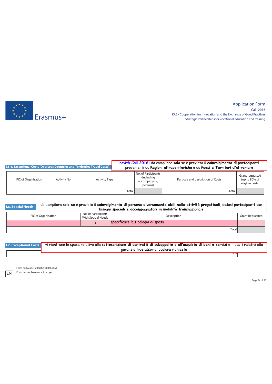

| <b>I.5.4. Exceptional Costs (Overseas Countries and Territories Travel Costs)</b> |              |                      |  | novità Call 2016: da compilare solo se è previsto il coinvolgimento di partecipanti<br>provenienti da Regioni ultraperiferiche e da Paesi e Territori d'oltremare |  |  |  |
|-----------------------------------------------------------------------------------|--------------|----------------------|--|-------------------------------------------------------------------------------------------------------------------------------------------------------------------|--|--|--|
| PIC of Organisation                                                               | Activity No. | <b>Activity Type</b> |  | No. of Participants<br>Grant requested<br>(including)<br>Purpose and description of Costs<br>(up to $80\%$ of<br>accompanying<br>eligible costs)<br>persons)      |  |  |  |
|                                                                                   |              | Total l              |  | Total                                                                                                                                                             |  |  |  |

| <b>I.6. Special Needs</b> | da compilare solo se è previsto il coinvolgimento di persone diversamente abili nelle attività progettuali, inclusi partecipanti con<br>bisogni speciali e accompagnatori in mobilità transnazionale |                                           |                                   |                        |  |  |  |
|---------------------------|------------------------------------------------------------------------------------------------------------------------------------------------------------------------------------------------------|-------------------------------------------|-----------------------------------|------------------------|--|--|--|
|                           | PIC of Organisation                                                                                                                                                                                  | No. of Participants<br>With Special Needs | Description                       | <b>Grant Requested</b> |  |  |  |
|                           |                                                                                                                                                                                                      |                                           | specificare la tipologia di spesa |                        |  |  |  |
|                           |                                                                                                                                                                                                      |                                           | <b>Total</b>                      |                        |  |  |  |

| 1.7. Exceptional Costs vi rientrano le spese relative alla sottoscrizione di contratti di subappalto o all'acquisto di beni e servizi e i costi relativi alla |
|---------------------------------------------------------------------------------------------------------------------------------------------------------------|
| garanzia fideiussoria, gualora richiesta                                                                                                                      |
| Totall                                                                                                                                                        |

|  | Form hash code: 206EB51DB46C0B61 |
|--|----------------------------------|

EN Form has not been submitted yet

Page 24 of 35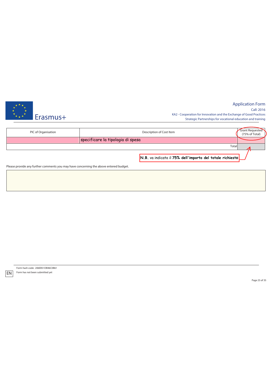| <b>Application Form</b>                                             |
|---------------------------------------------------------------------|
| Call: 2016                                                          |
| KA2 - Cooperation for Innovation and the Exchange of Good Practices |
| Strategic Partnerships for vocational education and training        |
|                                                                     |
| Grant Requested<br>Description of Cost Item<br>(75% of Total)       |
| specificare la tipologia di spesa                                   |
| Total                                                               |
|                                                                     |
| N.B. va indicato il 75% dell'importo del totale richiesto           |
|                                                                     |

Please provide any further comments you may have concerning the above entered budget.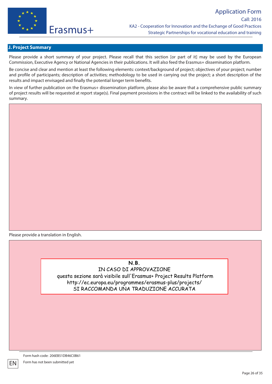

#### **J. Project Summary**

Please provide a short summary of your project. Please recall that this section [or part of it] may be used by the European Commission, Executive Agency or National Agencies in their publications. It will also feed the Erasmus+ dissemination platform.

Be concise and clear and mention at least the following elements: context/background of project; objectives of your project; number and profile of participants; description of activities; methodology to be used in carrying out the project; a short description of the results and impact envisaged and finally the potential longer term benefits.

In view of further publication on the Erasmus+ dissemination platform, please also be aware that a comprehensive public summary of project results will be requested at report stage(s). Final payment provisions in the contract will be linked to the availability of such summary.

Please provide a translation in English.

**N.B.** 

IN CASO DI APPROVAZIONE questa sezione sarà visibile sull'Erasmus+ Project Results Platform http://ec.europa.eu/programmes/erasmus-plus/projects/ SI RACCOMANDA UNA TRADUZIONE ACCURATA

Form hash code: 206EB51DB46C0B61

Form has not been submitted yet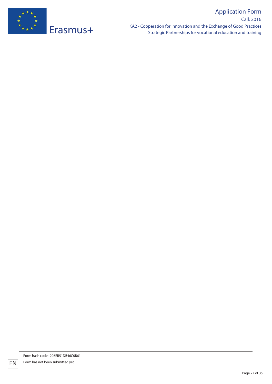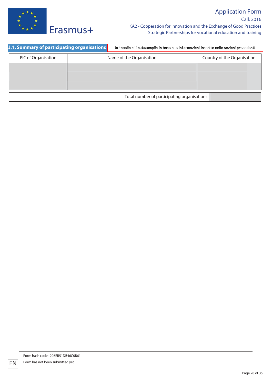

| <b>J.1. Summary of participating organisations</b><br>la tabella si i autocompila in base alle informazioni inserite nelle sezioni precedenti |  |                                             |                             |  |  |
|-----------------------------------------------------------------------------------------------------------------------------------------------|--|---------------------------------------------|-----------------------------|--|--|
| PIC of Organisation                                                                                                                           |  | Name of the Organisation                    | Country of the Organisation |  |  |
|                                                                                                                                               |  |                                             |                             |  |  |
|                                                                                                                                               |  |                                             |                             |  |  |
|                                                                                                                                               |  |                                             |                             |  |  |
|                                                                                                                                               |  | Total number of participating organisations |                             |  |  |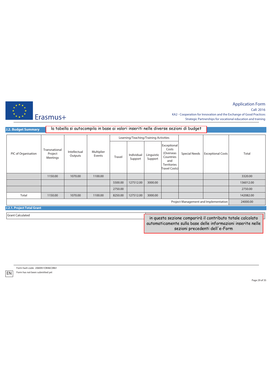

### Application Form

Call: 2016 KA2 - Cooperation for Innovation and the Exchange of Good Practices Strategic Partnerships for vocational education and training

#### **J.2. Budget Summary** la tabella si autocompila in base ai valori inseriti nelle diverse sezioni di budget

|                                                                                       |                                      |                         |                      | Learning/Teaching/Training Activities |                       |                       |                                                                                                     |                      |                          |           |
|---------------------------------------------------------------------------------------|--------------------------------------|-------------------------|----------------------|---------------------------------------|-----------------------|-----------------------|-----------------------------------------------------------------------------------------------------|----------------------|--------------------------|-----------|
| PIC of Organisation                                                                   | Transnational<br>Project<br>Meetings | Intellectual<br>Outputs | Multiplier<br>Events | Travel                                | Individual<br>Support | Linguistic<br>Support | <b>Exceptional</b><br>Costs<br>(Overseas<br>Countries<br>and<br><b>Territories</b><br>Travel Costs) | <b>Special Needs</b> | <b>Exceptional Costs</b> | Total     |
|                                                                                       | 1150.00                              | 1070.00                 | 1100.00              |                                       |                       |                       |                                                                                                     |                      |                          | 3320.00   |
|                                                                                       |                                      |                         |                      | 5500.00                               | 127512.00             | 3000.00               |                                                                                                     |                      |                          | 136012.00 |
|                                                                                       |                                      |                         |                      | 2750.00                               |                       |                       |                                                                                                     |                      |                          | 2750.00   |
| Total                                                                                 | 1150.00                              | 1070.00                 | 1100.00              | 8250.00                               | 127512.00             | 3000.00               |                                                                                                     |                      |                          | 142082.00 |
| Project Management and Implementation                                                 |                                      |                         |                      |                                       |                       |                       | 24000.00                                                                                            |                      |                          |           |
| <b>J.2.1. Project Total Grant</b>                                                     |                                      |                         |                      |                                       |                       |                       |                                                                                                     |                      |                          |           |
| <b>Grant Calculated</b><br>in questa sezione comparirà il contributo totale calcolato |                                      |                         |                      |                                       |                       |                       |                                                                                                     |                      |                          |           |

n questa sezione comparirà il contributo totale calcolato automaticamente sulla base delle informazioni inserite nelle sezioni precedenti dell'e-Form

Form hash code: 206EB51DB46C0B61 Form has not been submitted yet

Page 29 of 35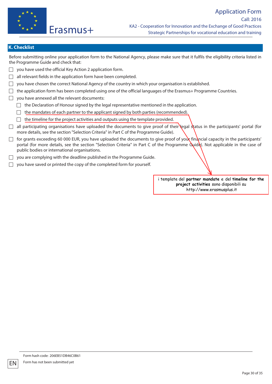

#### **K. Checklist**

Before submitting online your application form to the National Agency, please make sure that it fulfils the eligibility criteria listed in the Programme Guide and check that:

- $\Box$  you have used the official Key Action 2 application form.
- all relevant fields in the application form have been completed.  $\Box$
- $\Box$  you have chosen the correct National Agency of the country in which your organisation is established.
- $\Box$  the application form has been completed using one of the official languages of the Erasmus+ Programme Countries.
- $\Box$  vou have annexed all the relevant documents:
	- $\Box$  the Declaration of Honour signed by the legal representative mentioned in the application.
	- $\Box$  the mandates of each partner to the applicant signed by both parties (recommended).
	- $\Box$  the timeline for the project activities and outputs using the template provided.
- all participating organisations have uploaded the documents to give proof of their legal status in the participants' portal (for more details, see the section "Selection Criteria" in Part C of the Programme Guide).
- $\Box$  for grants exceeding 60 000 EUR, you have uploaded the documents to give proof of your financial capacity in the participants' portal (for more details, see the section "Selection Criteria" in Part C of the Programme Guide). Not applicable in the case of public bodies or international organisations.
- $\Box$  you are complying with the deadline published in the Programme Guide.
- $\Box$  you have saved or printed the copy of the completed form for yourself.

i template del **partner mandate** e del **timeline for the project activities** sono disponibili su http://www.erasmusplus.it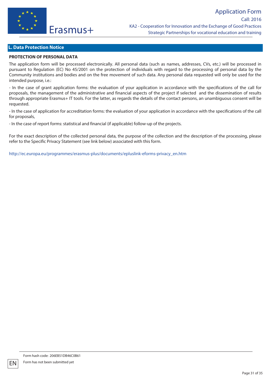

#### **L. Data Protection Notice**

#### **PROTECTION OF PERSONAL DATA**

The application form will be processed electronically. All personal data (such as names, addresses, CVs, etc.) will be processed in pursuant to Regulation (EC) No 45/2001 on the protection of individuals with regard to the processing of personal data by the Community institutions and bodies and on the free movement of such data. Any personal data requested will only be used for the intended purpose, i.e.:

- In the case of grant application forms: the evaluation of your application in accordance with the specifications of the call for proposals, the management of the administrative and financial aspects of the project if selected and the dissemination of results through appropriate Erasmus+ IT tools. For the latter, as regards the details of the contact persons, an unambiguous consent will be requested.

- In the case of application for accreditation forms: the evaluation of your application in accordance with the specifications of the call for proposals,

- In the case of report forms: statistical and financial (if applicable) follow-up of the projects.

For the exact description of the collected personal data, the purpose of the collection and the description of the processing, please refer to the Specific Privacy Statement (see link below) associated with this form.

http://ec.europa.eu/programmes/erasmus-plus/documents/epluslink-eforms-privacy\_en.htm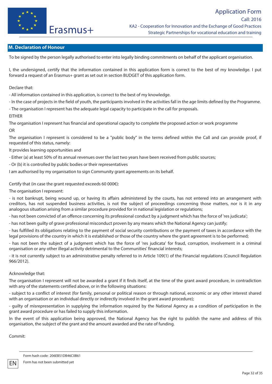

#### **M. Declaration of Honour**

To be signed by the person legally authorised to enter into legally binding commitments on behalf of the applicant organisation.

I, the undersigned, certify that the information contained in this application form is correct to the best of my knowledge. I put forward a request of an Erasmus+ grant as set out in section BUDGET of this application form.

Declare that:

- All information contained in this application, is correct to the best of my knowledge.

- In the case of projects in the field of youth, the participants involved in the activities fall in the age limits defined by the Programme.

- The organisation I represent has the adequate legal capacity to participate in the call for proposals.

#### EITHER

The organisation I represent has financial and operational capacity to complete the proposed action or work programme OR

The organisation I represent is considered to be a "public body" in the terms defined within the Call and can provide proof, if requested of this status, namely:

It provides learning opportunities and

- Either (a) at least 50% of its annual revenues over the last two years have been received from public sources;

- Or (b) it is controlled by public bodies or their representatives

I am authorised by my organisation to sign Community grant agreements on its behalf.

#### Certify that (in case the grant requested exceeds 60 000€):

The organisation I represent:

- is not bankrupt, being wound up, or having its affairs administered by the courts, has not entered into an arrangement with creditors, has not suspended business activities, is not the subject of proceedings concerning those matters, nor is it in any analogous situation arising from a similar procedure provided for in national legislation or regulations;

- has not been convicted of an offence concerning its professional conduct by a judgment which has the force of 'res judicata';

- has not been guilty of grave professional misconduct proven by any means which the National Agency can justify;

- has fulfilled its obligations relating to the payment of social security contributions or the payment of taxes in accordance with the legal provisions of the country in which it is established or those of the country where the grant agreement is to be performed;

- has not been the subject of a judgment which has the force of 'res judicata' for fraud, corruption, involvement in a criminal organisation or any other illegal activity detrimental to the Communities' financial interests;

- it is not currently subject to an administrative penalty referred to in Article 109(1) of the Financial regulations (Council Regulation 966/2012).

#### Acknowledge that:

The organisation I represent will not be awarded a grant if it finds itself, at the time of the grant award procedure, in contradiction with any of the statements certified above, or in the following situations:

- subject to a conflict of interest (for family, personal or political reason or through national, economic or any other interest shared with an organisation or an individual directly or indirectly involved in the grant award procedure);

- guilty of misrepresentation in supplying the information required by the National Agency as a condition of participation in the grant award procedure or has failed to supply this information.

In the event of this application being approved, the National Agency has the right to publish the name and address of this organisation, the subject of the grant and the amount awarded and the rate of funding.

Commit: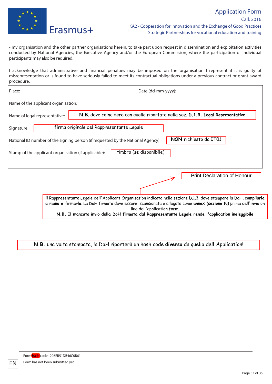

- my organisation and the other partner organisations herein, to take part upon request in dissemination and exploitation activities conducted by National Agencies, the Executive Agency and/or the European Commission, where the participation of individual participants may also be required.

I acknowledge that administrative and financial penalties may be imposed on the organisation I represent if it is guilty of misrepresentation or is found to have seriously failed to meet its contractual obligations under a previous contract or grant award procedure.

| Place:                        | Date (dd-mm-yyyy):                                                                                                                                                                                                                                                                                                                                                          |
|-------------------------------|-----------------------------------------------------------------------------------------------------------------------------------------------------------------------------------------------------------------------------------------------------------------------------------------------------------------------------------------------------------------------------|
|                               | Name of the applicant organisation:                                                                                                                                                                                                                                                                                                                                         |
| Name of legal representative: | N.B. deve coincidere con quello riportato nella sez. D.1.3. Legal Representative                                                                                                                                                                                                                                                                                            |
| Signature:                    | firma originale del Rappresentante Legale                                                                                                                                                                                                                                                                                                                                   |
|                               | NON richiesto da IT01<br>National ID number of the signing person (if requested by the National Agency):                                                                                                                                                                                                                                                                    |
|                               | timbro (se disponibile)<br>Stamp of the applicant organisation (if applicable):                                                                                                                                                                                                                                                                                             |
|                               |                                                                                                                                                                                                                                                                                                                                                                             |
|                               | <b>Print Declaration of Honour</b>                                                                                                                                                                                                                                                                                                                                          |
|                               |                                                                                                                                                                                                                                                                                                                                                                             |
|                               | il Rappresentante Legale dell'Applicant Organisation indicato nella sezione D.1.3. deve stampare la DoH, compilarlo<br>a mano e firmarla. La DoH firmata deve essere scansionata e allegata come annex (sezione N) prima dell'invio or<br>line dell'application form.<br>N.B. Il mancato invio della DoH firmata dal Rappresentante Legale rende l'application ineleggibile |
|                               |                                                                                                                                                                                                                                                                                                                                                                             |
|                               |                                                                                                                                                                                                                                                                                                                                                                             |
|                               | N.B. una volta stampata, la DoH riporterà un hash code diverso da quello dell'Application!                                                                                                                                                                                                                                                                                  |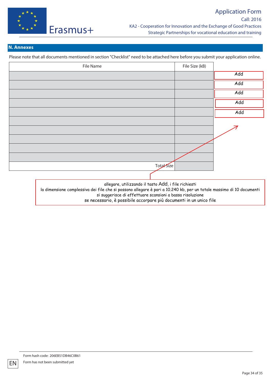

#### **N. Annexes**

Please note that all documents mentioned in section "Checklist" need to be attached here before you submit your application online.

| File Name                                                                                                                                                                                                                                                                                                        | File Size (kB) |     |
|------------------------------------------------------------------------------------------------------------------------------------------------------------------------------------------------------------------------------------------------------------------------------------------------------------------|----------------|-----|
|                                                                                                                                                                                                                                                                                                                  |                | Add |
|                                                                                                                                                                                                                                                                                                                  |                | Add |
|                                                                                                                                                                                                                                                                                                                  |                | Add |
|                                                                                                                                                                                                                                                                                                                  |                | Add |
|                                                                                                                                                                                                                                                                                                                  |                | Add |
| TotalSize                                                                                                                                                                                                                                                                                                        |                |     |
| allegare, utilizzando il tasto Add, i file richiesti<br>la dimensione complessiva dei file che si possono allegare è pari a 10.240 kb, per un totale massimo di 10 documenti<br>si suggerisce di effettuare scansioni a bassa risoluzione<br>se necessario, è possibile accorpare più documenti in un unico file |                |     |